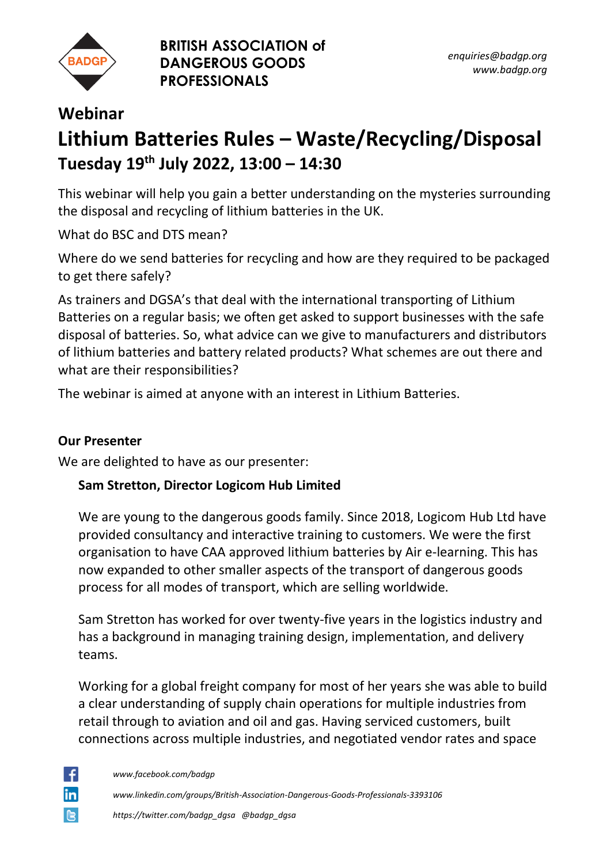

**BRITISH ASSOCIATION of DANGEROUS GOODS PROFESSIONALS**

## **Webinar Lithium Batteries Rules – Waste/Recycling/Disposal Tuesday 19th July 2022, 13:00 – 14:30**

This webinar will help you gain a better understanding on the mysteries surrounding the disposal and recycling of lithium batteries in the UK.

What do BSC and DTS mean?

Where do we send batteries for recycling and how are they required to be packaged to get there safely?

As trainers and DGSA's that deal with the international transporting of Lithium Batteries on a regular basis; we often get asked to support businesses with the safe disposal of batteries. So, what advice can we give to manufacturers and distributors of lithium batteries and battery related products? What schemes are out there and what are their responsibilities?

The webinar is aimed at anyone with an interest in Lithium Batteries.

## **Our Presenter**

We are delighted to have as our presenter:

## **Sam Stretton, Director Logicom Hub Limited**

We are young to the dangerous goods family. Since 2018, Logicom Hub Ltd have provided consultancy and interactive training to customers. We were the first organisation to have CAA approved lithium batteries by Air e-learning. This has now expanded to other smaller aspects of the transport of dangerous goods process for all modes of transport, which are selling worldwide.

Sam Stretton has worked for over twenty-five years in the logistics industry and has a background in managing training design, implementation, and delivery teams.

Working for a global freight company for most of her years she was able to build a clear understanding of supply chain operations for multiple industries from retail through to aviation and oil and gas. Having serviced customers, built connections across multiple industries, and negotiated vendor rates and space

÷ in

*www.facebook.com/badgp*

*www.linkedin.com/groups/British-Association-Dangerous-Goods-Professionals-3393106*